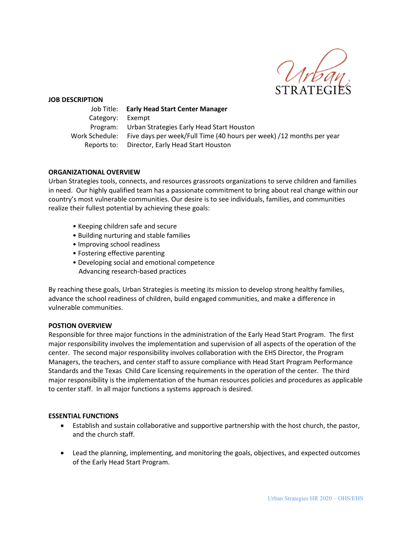

#### **JOB DESCRIPTION**

|                  | Job Title: Early Head Start Center Manager                                          |
|------------------|-------------------------------------------------------------------------------------|
| Category: Exempt |                                                                                     |
|                  | Program: Urban Strategies Early Head Start Houston                                  |
|                  | Work Schedule: Five days per week/Full Time (40 hours per week) /12 months per year |
|                  | Reports to: Director, Early Head Start Houston                                      |

#### **ORGANIZATIONAL OVERVIEW**

Urban Strategies tools, connects, and resources grassroots organizations to serve children and families in need. Our highly qualified team has a passionate commitment to bring about real change within our country's most vulnerable communities. Our desire is to see individuals, families, and communities realize their fullest potential by achieving these goals:

- Keeping children safe and secure
- Building nurturing and stable families
- Improving school readiness
- Fostering effective parenting
- Developing social and emotional competence Advancing research-based practices

By reaching these goals, Urban Strategies is meeting its mission to develop strong healthy families, advance the school readiness of children, build engaged communities, and make a difference in vulnerable communities.

#### **POSTION OVERVIEW**

Responsible for three major functions in the administration of the Early Head Start Program. The first major responsibility involves the implementation and supervision of all aspects of the operation of the center. The second major responsibility involves collaboration with the EHS Director, the Program Managers, the teachers, and center staff to assure compliance with Head Start Program Performance Standards and the Texas Child Care licensing requirements in the operation of the center. The third major responsibility is the implementation of the human resources policies and procedures as applicable to center staff. In all major functions a systems approach is desired.

#### **ESSENTIAL FUNCTIONS**

- Establish and sustain collaborative and supportive partnership with the host church, the pastor, and the church staff.
- Lead the planning, implementing, and monitoring the goals, objectives, and expected outcomes of the Early Head Start Program.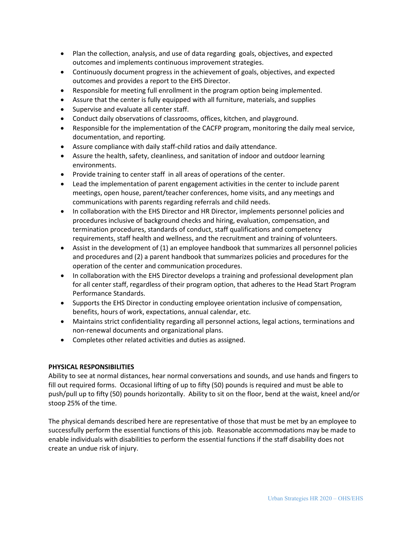- Plan the collection, analysis, and use of data regarding goals, objectives, and expected outcomes and implements continuous improvement strategies.
- Continuously document progress in the achievement of goals, objectives, and expected outcomes and provides a report to the EHS Director.
- Responsible for meeting full enrollment in the program option being implemented.
- Assure that the center is fully equipped with all furniture, materials, and supplies
- Supervise and evaluate all center staff.
- Conduct daily observations of classrooms, offices, kitchen, and playground.
- Responsible for the implementation of the CACFP program, monitoring the daily meal service, documentation, and reporting.
- Assure compliance with daily staff-child ratios and daily attendance.
- Assure the health, safety, cleanliness, and sanitation of indoor and outdoor learning environments.
- Provide training to center staff in all areas of operations of the center.
- Lead the implementation of parent engagement activities in the center to include parent meetings, open house, parent/teacher conferences, home visits, and any meetings and communications with parents regarding referrals and child needs.
- In collaboration with the EHS Director and HR Director, implements personnel policies and procedures inclusive of background checks and hiring, evaluation, compensation, and termination procedures, standards of conduct, staff qualifications and competency requirements, staff health and wellness, and the recruitment and training of volunteers.
- Assist in the development of (1) an employee handbook that summarizes all personnel policies and procedures and (2) a parent handbook that summarizes policies and procedures for the operation of the center and communication procedures.
- In collaboration with the EHS Director develops a training and professional development plan for all center staff, regardless of their program option, that adheres to the Head Start Program Performance Standards.
- Supports the EHS Director in conducting employee orientation inclusive of compensation, benefits, hours of work, expectations, annual calendar, etc.
- Maintains strict confidentiality regarding all personnel actions, legal actions, terminations and non-renewal documents and organizational plans.
- Completes other related activities and duties as assigned.

# **PHYSICAL RESPONSIBILITIES**

Ability to see at normal distances, hear normal conversations and sounds, and use hands and fingers to fill out required forms. Occasional lifting of up to fifty (50) pounds is required and must be able to push/pull up to fifty (50) pounds horizontally. Ability to sit on the floor, bend at the waist, kneel and/or stoop 25% of the time.

The physical demands described here are representative of those that must be met by an employee to successfully perform the essential functions of this job. Reasonable accommodations may be made to enable individuals with disabilities to perform the essential functions if the staff disability does not create an undue risk of injury.